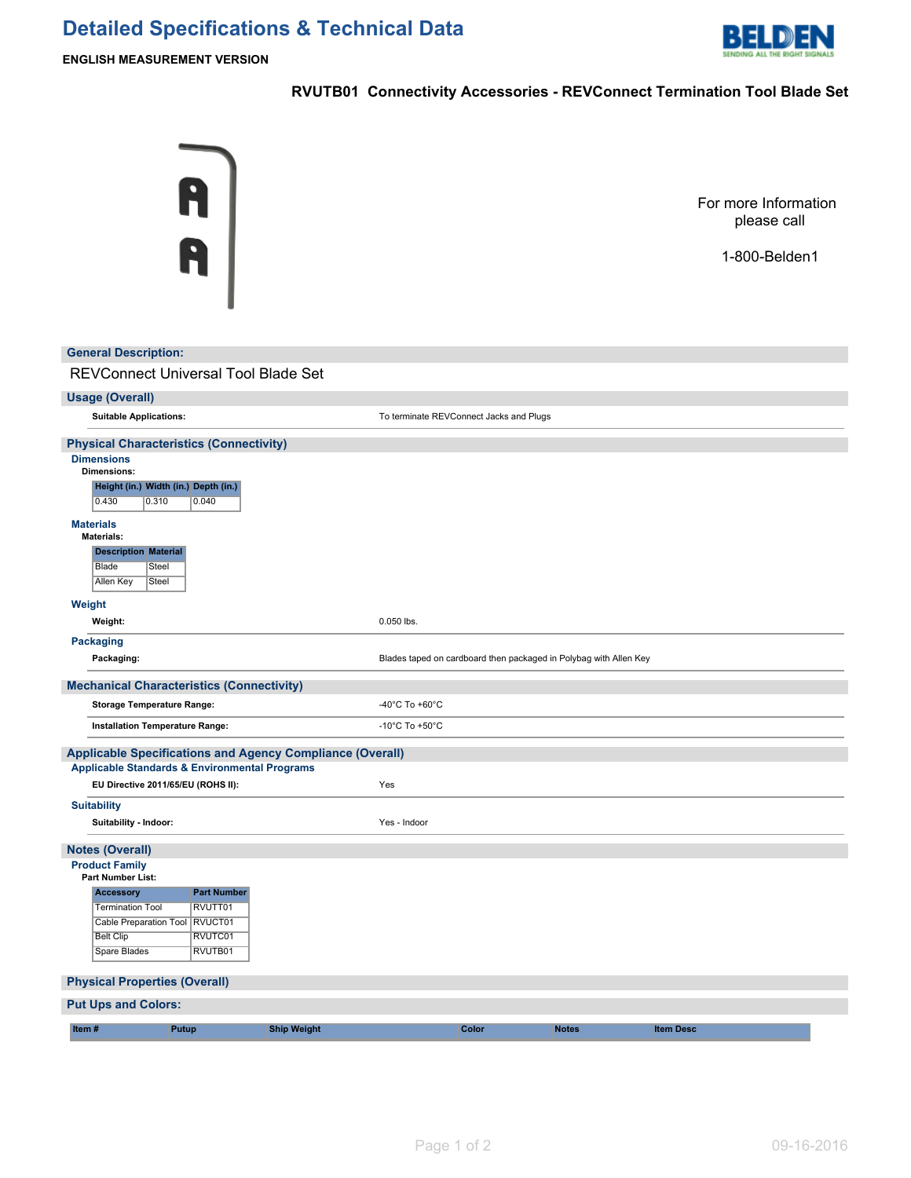## **Detailed Specifications & Technical Data**



**ENGLISH MEASUREMENT VERSION**

## **RVUTB01 Connectivity Accessories - REVConnect Termination Tool Blade Set**

| <b>General Description:</b>                                                                                                                                                                                              | Ĥ<br>R                                              |                                                           |                                      |                                                                   |              | For more Information<br>please call<br>1-800-Belden1 |
|--------------------------------------------------------------------------------------------------------------------------------------------------------------------------------------------------------------------------|-----------------------------------------------------|-----------------------------------------------------------|--------------------------------------|-------------------------------------------------------------------|--------------|------------------------------------------------------|
| REVConnect Universal Tool Blade Set                                                                                                                                                                                      |                                                     |                                                           |                                      |                                                                   |              |                                                      |
| <b>Usage (Overall)</b>                                                                                                                                                                                                   |                                                     |                                                           |                                      |                                                                   |              |                                                      |
| <b>Suitable Applications:</b>                                                                                                                                                                                            |                                                     |                                                           |                                      | To terminate REVConnect Jacks and Plugs                           |              |                                                      |
| <b>Dimensions</b><br><b>Dimensions:</b><br>Height (in.) Width (in.) Depth (in.)<br>0.430<br>0.310<br><b>Materials</b><br><b>Materials:</b><br><b>Description Material</b><br>Blade<br>Steel<br><b>Allen Key</b><br>Steel | 0.040                                               |                                                           |                                      |                                                                   |              |                                                      |
| Weight<br>Weight:                                                                                                                                                                                                        |                                                     |                                                           | 0.050 lbs.                           |                                                                   |              |                                                      |
| <b>Packaging</b><br>Packaging:                                                                                                                                                                                           |                                                     |                                                           |                                      | Blades taped on cardboard then packaged in Polybag with Allen Key |              |                                                      |
| <b>Mechanical Characteristics (Connectivity)</b>                                                                                                                                                                         |                                                     |                                                           |                                      |                                                                   |              |                                                      |
| <b>Storage Temperature Range:</b>                                                                                                                                                                                        |                                                     |                                                           | -40°C To +60°C                       |                                                                   |              |                                                      |
| Installation Temperature Range:                                                                                                                                                                                          |                                                     |                                                           | -10 $^{\circ}$ C To +50 $^{\circ}$ C |                                                                   |              |                                                      |
| <b>Applicable Standards &amp; Environmental Programs</b><br>EU Directive 2011/65/EU (ROHS II):                                                                                                                           |                                                     | Applicable Specifications and Agency Compliance (Overall) | Yes                                  |                                                                   |              |                                                      |
| <b>Suitability</b><br>Suitability - Indoor:                                                                                                                                                                              |                                                     |                                                           | Yes - Indoor                         |                                                                   |              |                                                      |
| <b>Notes (Overall)</b><br><b>Product Family</b><br><b>Part Number List:</b><br>Accessory<br><b>Termination Tool</b><br>Cable Preparation Tool   RVUCT01<br><b>Belt Clip</b><br>Spare Blades                              | <b>Part Number</b><br>RVUTT01<br>RVUTC01<br>RVUTB01 |                                                           |                                      |                                                                   |              |                                                      |
| <b>Physical Properties (Overall)</b>                                                                                                                                                                                     |                                                     |                                                           |                                      |                                                                   |              |                                                      |
| <b>Put Ups and Colors:</b>                                                                                                                                                                                               |                                                     |                                                           |                                      |                                                                   |              |                                                      |
| Item#                                                                                                                                                                                                                    | Putup                                               | <b>Ship Weight</b>                                        |                                      | Color                                                             | <b>Notes</b> | <b>Item Desc</b>                                     |